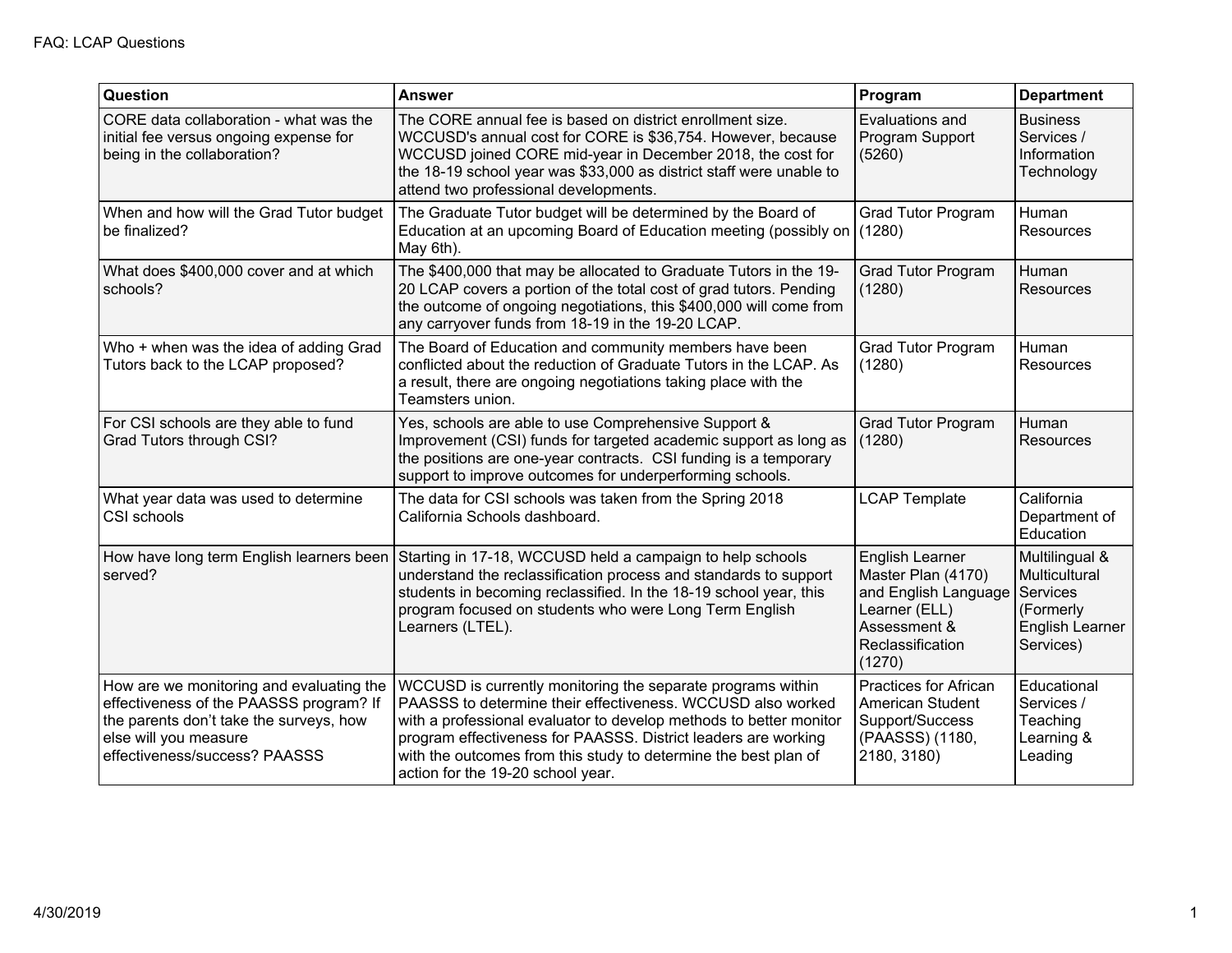| Question                                                                                                                                                                                 | <b>Answer</b>                                                                                                                                                                                                                                                                                                                                                              | Program                                                                                                                      | <b>Department</b>                                                                               |
|------------------------------------------------------------------------------------------------------------------------------------------------------------------------------------------|----------------------------------------------------------------------------------------------------------------------------------------------------------------------------------------------------------------------------------------------------------------------------------------------------------------------------------------------------------------------------|------------------------------------------------------------------------------------------------------------------------------|-------------------------------------------------------------------------------------------------|
| CORE data collaboration - what was the<br>initial fee versus ongoing expense for<br>being in the collaboration?                                                                          | The CORE annual fee is based on district enrollment size.<br>WCCUSD's annual cost for CORE is \$36,754. However, because<br>WCCUSD joined CORE mid-year in December 2018, the cost for<br>the 18-19 school year was \$33,000 as district staff were unable to<br>attend two professional developments.                                                                     | Evaluations and<br>Program Support<br>(5260)                                                                                 | <b>Business</b><br>Services /<br>Information<br>Technology                                      |
| When and how will the Grad Tutor budget<br>be finalized?                                                                                                                                 | The Graduate Tutor budget will be determined by the Board of<br>Education at an upcoming Board of Education meeting (possibly on<br>May 6th).                                                                                                                                                                                                                              | Grad Tutor Program<br>(1280)                                                                                                 | Human<br><b>Resources</b>                                                                       |
| What does \$400,000 cover and at which<br>schools?                                                                                                                                       | The \$400,000 that may be allocated to Graduate Tutors in the 19-<br>20 LCAP covers a portion of the total cost of grad tutors. Pending<br>the outcome of ongoing negotiations, this \$400,000 will come from<br>any carryover funds from 18-19 in the 19-20 LCAP.                                                                                                         | <b>Grad Tutor Program</b><br>(1280)                                                                                          | Human<br><b>Resources</b>                                                                       |
| Who + when was the idea of adding Grad<br>Tutors back to the LCAP proposed?                                                                                                              | The Board of Education and community members have been<br>conflicted about the reduction of Graduate Tutors in the LCAP. As<br>a result, there are ongoing negotiations taking place with the<br>Teamsters union.                                                                                                                                                          | Grad Tutor Program<br>(1280)                                                                                                 | Human<br>Resources                                                                              |
| For CSI schools are they able to fund<br>Grad Tutors through CSI?                                                                                                                        | Yes, schools are able to use Comprehensive Support &<br>Improvement (CSI) funds for targeted academic support as long as<br>the positions are one-year contracts. CSI funding is a temporary<br>support to improve outcomes for underperforming schools.                                                                                                                   | <b>Grad Tutor Program</b><br>(1280)                                                                                          | Human<br><b>Resources</b>                                                                       |
| What year data was used to determine<br>CSI schools                                                                                                                                      | The data for CSI schools was taken from the Spring 2018<br>California Schools dashboard.                                                                                                                                                                                                                                                                                   | <b>LCAP Template</b>                                                                                                         | California<br>Department of<br>Education                                                        |
| How have long term English learners been<br>served?                                                                                                                                      | Starting in 17-18, WCCUSD held a campaign to help schools<br>understand the reclassification process and standards to support<br>students in becoming reclassified. In the 18-19 school year, this<br>program focused on students who were Long Term English<br>Learners (LTEL).                                                                                           | English Learner<br>Master Plan (4170)<br>and English Language<br>Learner (ELL)<br>Assessment &<br>Reclassification<br>(1270) | Multilingual &<br>Multicultural<br>Services<br>(Formerly<br><b>English Learner</b><br>Services) |
| How are we monitoring and evaluating the<br>effectiveness of the PAASSS program? If<br>the parents don't take the surveys, how<br>else will you measure<br>effectiveness/success? PAASSS | WCCUSD is currently monitoring the separate programs within<br>PAASSS to determine their effectiveness. WCCUSD also worked<br>with a professional evaluator to develop methods to better monitor<br>program effectiveness for PAASSS. District leaders are working<br>with the outcomes from this study to determine the best plan of<br>action for the 19-20 school year. | <b>Practices for African</b><br>American Student<br>Support/Success<br>(PAASSS) (1180,<br>2180, 3180)                        | Educational<br>Services /<br>Teaching<br>Learning &<br>Leading                                  |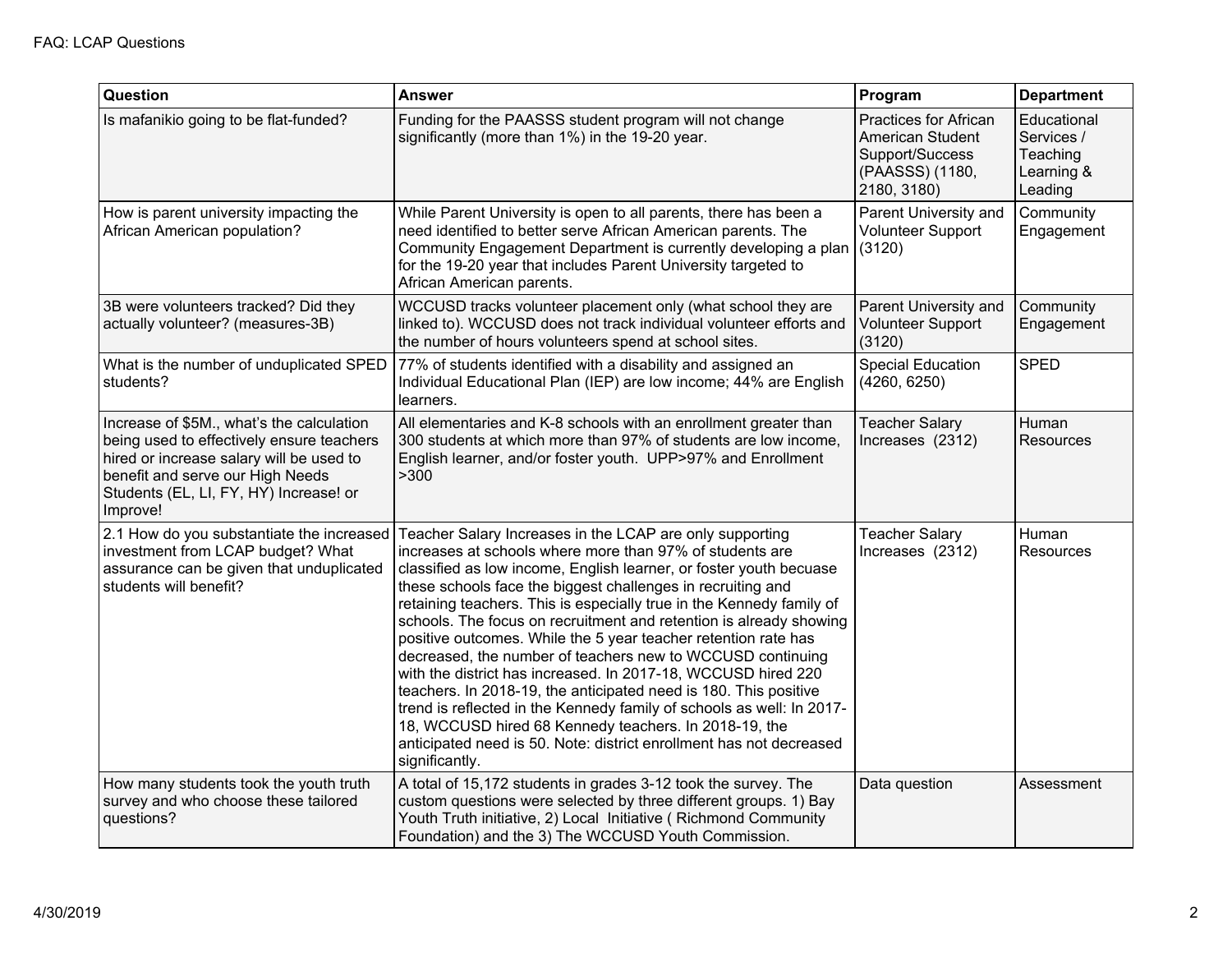| Question                                                                                                                                                                                                                     | <b>Answer</b>                                                                                                                                                                                                                                                                                                                                                                                                                                                                                                                                                                                                                                                                                                                                                                                                                                                                                           | Program                                                                                        | <b>Department</b>                                              |
|------------------------------------------------------------------------------------------------------------------------------------------------------------------------------------------------------------------------------|---------------------------------------------------------------------------------------------------------------------------------------------------------------------------------------------------------------------------------------------------------------------------------------------------------------------------------------------------------------------------------------------------------------------------------------------------------------------------------------------------------------------------------------------------------------------------------------------------------------------------------------------------------------------------------------------------------------------------------------------------------------------------------------------------------------------------------------------------------------------------------------------------------|------------------------------------------------------------------------------------------------|----------------------------------------------------------------|
| Is mafanikio going to be flat-funded?                                                                                                                                                                                        | Funding for the PAASSS student program will not change<br>significantly (more than 1%) in the 19-20 year.                                                                                                                                                                                                                                                                                                                                                                                                                                                                                                                                                                                                                                                                                                                                                                                               | Practices for African<br>American Student<br>Support/Success<br>(PAASSS) (1180,<br>2180, 3180) | Educational<br>Services /<br>Teaching<br>Learning &<br>Leading |
| How is parent university impacting the<br>African American population?                                                                                                                                                       | While Parent University is open to all parents, there has been a<br>need identified to better serve African American parents. The<br>Community Engagement Department is currently developing a plan<br>for the 19-20 year that includes Parent University targeted to<br>African American parents.                                                                                                                                                                                                                                                                                                                                                                                                                                                                                                                                                                                                      | Parent University and<br>Volunteer Support<br>(3120)                                           | Community<br>Engagement                                        |
| 3B were volunteers tracked? Did they<br>actually volunteer? (measures-3B)                                                                                                                                                    | WCCUSD tracks volunteer placement only (what school they are<br>linked to). WCCUSD does not track individual volunteer efforts and<br>the number of hours volunteers spend at school sites.                                                                                                                                                                                                                                                                                                                                                                                                                                                                                                                                                                                                                                                                                                             | Parent University and<br>Volunteer Support<br>(3120)                                           | Community<br>Engagement                                        |
| What is the number of unduplicated SPED<br>students?                                                                                                                                                                         | 77% of students identified with a disability and assigned an<br>Individual Educational Plan (IEP) are low income; 44% are English<br>learners.                                                                                                                                                                                                                                                                                                                                                                                                                                                                                                                                                                                                                                                                                                                                                          | <b>Special Education</b><br>(4260, 6250)                                                       | <b>SPED</b>                                                    |
| Increase of \$5M., what's the calculation<br>being used to effectively ensure teachers<br>hired or increase salary will be used to<br>benefit and serve our High Needs<br>Students (EL, LI, FY, HY) Increase! or<br>Improve! | All elementaries and K-8 schools with an enrollment greater than<br>300 students at which more than 97% of students are low income,<br>English learner, and/or foster youth. UPP>97% and Enrollment<br>>300                                                                                                                                                                                                                                                                                                                                                                                                                                                                                                                                                                                                                                                                                             | <b>Teacher Salary</b><br>Increases (2312)                                                      | Human<br>Resources                                             |
| 2.1 How do you substantiate the increased<br>investment from LCAP budget? What<br>assurance can be given that unduplicated<br>students will benefit?                                                                         | Teacher Salary Increases in the LCAP are only supporting<br>increases at schools where more than 97% of students are<br>classified as low income, English learner, or foster youth becuase<br>these schools face the biggest challenges in recruiting and<br>retaining teachers. This is especially true in the Kennedy family of<br>schools. The focus on recruitment and retention is already showing<br>positive outcomes. While the 5 year teacher retention rate has<br>decreased, the number of teachers new to WCCUSD continuing<br>with the district has increased. In 2017-18, WCCUSD hired 220<br>teachers. In 2018-19, the anticipated need is 180. This positive<br>trend is reflected in the Kennedy family of schools as well: In 2017-<br>18, WCCUSD hired 68 Kennedy teachers. In 2018-19, the<br>anticipated need is 50. Note: district enrollment has not decreased<br>significantly. | <b>Teacher Salary</b><br>Increases (2312)                                                      | Human<br>Resources                                             |
| How many students took the youth truth<br>survey and who choose these tailored<br>questions?                                                                                                                                 | A total of 15,172 students in grades 3-12 took the survey. The<br>custom questions were selected by three different groups. 1) Bay<br>Youth Truth initiative, 2) Local Initiative (Richmond Community<br>Foundation) and the 3) The WCCUSD Youth Commission.                                                                                                                                                                                                                                                                                                                                                                                                                                                                                                                                                                                                                                            | Data question                                                                                  | Assessment                                                     |